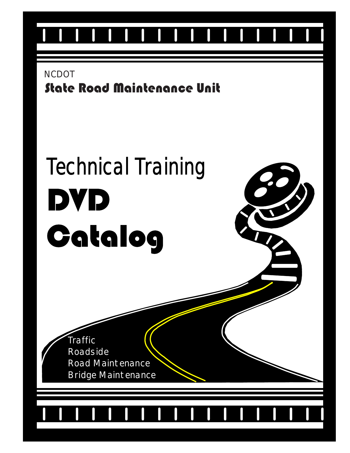

State Road Maintenance Unit **NCDOT** 

# Technical Training DVD Catalog

Traffic Roadside Road Maintenance Bridge Maintenance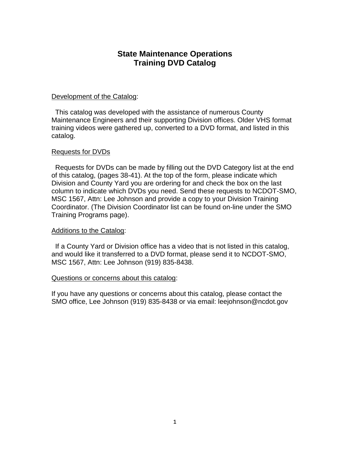#### **State Maintenance Operations Training DVD Catalog**

#### Development of the Catalog:

 This catalog was developed with the assistance of numerous County Maintenance Engineers and their supporting Division offices. Older VHS format training videos were gathered up, converted to a DVD format, and listed in this catalog.

#### Requests for DVDs

 Requests for DVDs can be made by filling out the DVD Category list at the end of this catalog, (pages 38-41). At the top of the form, please indicate which Division and County Yard you are ordering for and check the box on the last column to indicate which DVDs you need. Send these requests to NCDOT-SMO, MSC 1567, Attn: Lee Johnson and provide a copy to your Division Training Coordinator. (The Division Coordinator list can be found on-line under the SMO Training Programs page).

#### Additions to the Catalog:

 If a County Yard or Division office has a video that is not listed in this catalog, and would like it transferred to a DVD format, please send it to NCDOT-SMO, MSC 1567, Attn: Lee Johnson (919) 835-8438.

#### Questions or concerns about this catalog:

If you have any questions or concerns about this catalog, please contact the SMO office, Lee Johnson (919) 835-8438 or via email: leejohnson@ncdot.gov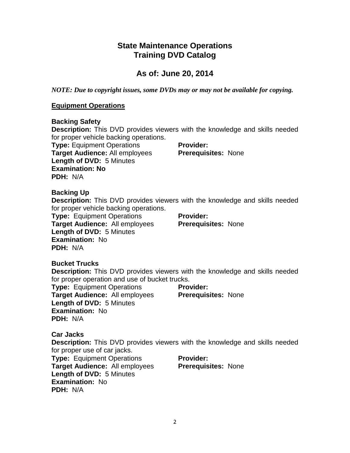#### **State Maintenance Operations Training DVD Catalog**

## **As of: June 20, 2014**

*NOTE: Due to copyright issues, some DVDs may or may not be available for copying.*

#### **Equipment Operations**

#### **Backing Safety**

**Description:** This DVD provides viewers with the knowledge and skills needed for proper vehicle backing operations.

**Type:** Equipment Operations **Target Audience:** All employees **Length of DVD:** 5 Minutes **Examination: No PDH:** N/A

**Provider: Prerequisites:** None

#### **Backing Up**

**Description:** This DVD provides viewers with the knowledge and skills needed for proper vehicle backing operations.

**Type:** Equipment Operations **Target Audience:** All employees **Length of DVD:** 5 Minutes **Examination:** No **PDH:** N/A

**Provider: Prerequisites:** None

#### **Bucket Trucks**

**Description:** This DVD provides viewers with the knowledge and skills needed for proper operation and use of bucket trucks.

**Type:** Equipment Operations **Target Audience:** All employees **Length of DVD:** 5 Minutes **Examination:** No **PDH:** N/A

**Provider: Prerequisites:** None

#### **Car Jacks**

**Description:** This DVD provides viewers with the knowledge and skills needed for proper use of car jacks.

**Type:** Equipment Operations **Target Audience:** All employees **Length of DVD:** 5 Minutes **Examination:** No **PDH:** N/A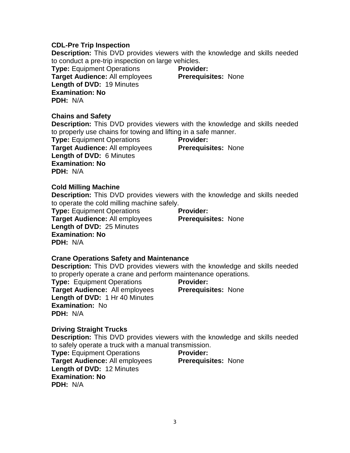#### **CDL-Pre Trip Inspection**

**Description:** This DVD provides viewers with the knowledge and skills needed to conduct a pre-trip inspection on large vehicles.

**Type:** Equipment Operations **Target Audience:** All employees **Length of DVD:** 19 Minutes **Examination: No PDH:** N/A

**Provider: Prerequisites:** None

#### **Chains and Safety**

**Description:** This DVD provides viewers with the knowledge and skills needed to properly use chains for towing and lifting in a safe manner.

**Type:** Equipment Operations **Target Audience:** All employees **Length of DVD:** 6 Minutes **Examination: No PDH:** N/A

**Provider: Prerequisites:** None

#### **Cold Milling Machine**

**Description:** This DVD provides viewers with the knowledge and skills needed to operate the cold milling machine safely.

**Type:** Equipment Operations **Target Audience:** All employees **Length of DVD:** 25 Minutes **Examination: No PDH:** N/A

**Provider: Prerequisites:** None

#### **Crane Operations Safety and Maintenance**

**Description:** This DVD provides viewers with the knowledge and skills needed to properly operate a crane and perform maintenance operations.

**Type:** Equipment Operations **Target Audience:** All employees **Length of DVD:** 1 Hr 40 Minutes **Examination:** No **PDH:** N/A

**Provider:** 

**Prerequisites:** None

#### **Driving Straight Trucks**

**Description:** This DVD provides viewers with the knowledge and skills needed to safely operate a truck with a manual transmission.

**Type:** Equipment Operations **Target Audience:** All employees **Length of DVD:** 12 Minutes **Examination: No PDH:** N/A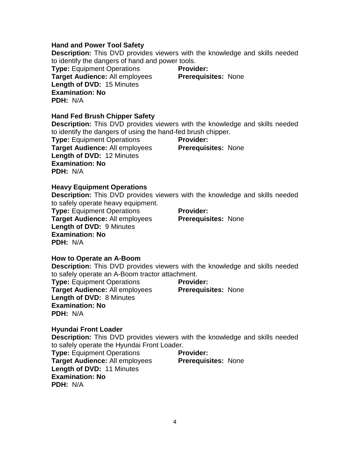#### **Hand and Power Tool Safety**

**Description:** This DVD provides viewers with the knowledge and skills needed to identify the dangers of hand and power tools.

**Type:** Equipment Operations **Target Audience:** All employees **Length of DVD:** 15 Minutes **Examination: No PDH:** N/A

**Provider: Prerequisites:** None

#### **Hand Fed Brush Chipper Safety**

**Description:** This DVD provides viewers with the knowledge and skills needed to identify the dangers of using the hand-fed brush chipper.

**Type:** Equipment Operations **Target Audience:** All employees **Length of DVD:** 12 Minutes **Examination: No PDH:** N/A

**Provider: Prerequisites:** None

#### **Heavy Equipment Operations**

**Description:** This DVD provides viewers with the knowledge and skills needed to safely operate heavy equipment.

**Type:** Equipment Operations **Target Audience:** All employees **Length of DVD:** 9 Minutes **Examination: No PDH:** N/A

**Provider: Prerequisites:** None

#### **How to Operate an A-Boom**

**Description:** This DVD provides viewers with the knowledge and skills needed to safely operate an A-Boom tractor attachment.

**Type:** Equipment Operations **Target Audience:** All employees **Length of DVD:** 8 Minutes **Examination: No PDH:** N/A

**Provider:** 

**Prerequisites:** None

#### **Hyundai Front Loader**

**Description:** This DVD provides viewers with the knowledge and skills needed to safely operate the Hyundai Front Loader.

**Type:** Equipment Operations **Target Audience:** All employees **Length of DVD:** 11 Minutes **Examination: No PDH:** N/A **Provider: Prerequisites:** None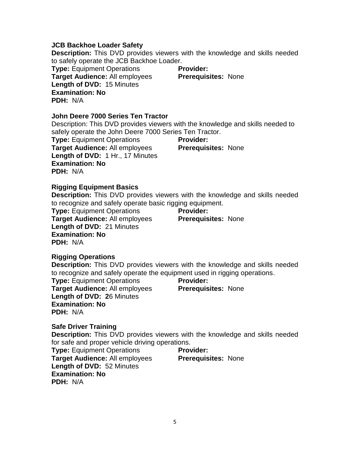#### **JCB Backhoe Loader Safety**

**Description:** This DVD provides viewers with the knowledge and skills needed to safely operate the JCB Backhoe Loader.

**Type:** Equipment Operations **Target Audience:** All employees **Length of DVD:** 15 Minutes **Examination: No PDH:** N/A

**Provider: Prerequisites:** None

#### **John Deere 7000 Series Ten Tractor**

Description: This DVD provides viewers with the knowledge and skills needed to safely operate the John Deere 7000 Series Ten Tractor.

**Type:** Equipment Operations **Target Audience:** All employees **Length of DVD:** 1 Hr., 17 Minutes **Examination: No PDH:** N/A

**Provider: Prerequisites:** None

#### **Rigging Equipment Basics**

**Description:** This DVD provides viewers with the knowledge and skills needed to recognize and safely operate basic rigging equipment.

**Type:** Equipment Operations **Target Audience:** All employees **Length of DVD:** 21 Minutes **Examination: No PDH:** N/A

**Provider: Prerequisites:** None

#### **Rigging Operations**

**Description:** This DVD provides viewers with the knowledge and skills needed to recognize and safely operate the equipment used in rigging operations.

**Type:** Equipment Operations **Target Audience:** All employees **Length of DVD: 2**6 Minutes **Examination: No PDH:** N/A

**Provider: Prerequisites:** None

**Safe Driver Training**

**Description:** This DVD provides viewers with the knowledge and skills needed for safe and proper vehicle driving operations.

**Type:** Equipment Operations **Target Audience:** All employees **Length of DVD:** 52 Minutes **Examination: No PDH:** N/A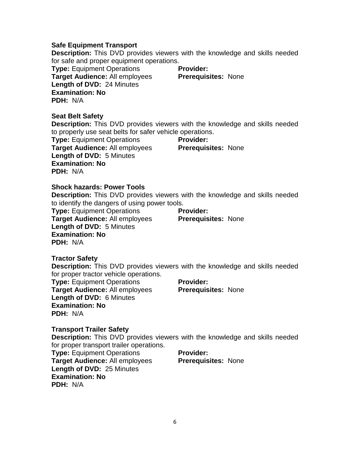#### **Safe Equipment Transport**

**Description:** This DVD provides viewers with the knowledge and skills needed for safe and proper equipment operations.

**Type:** Equipment Operations **Target Audience:** All employees **Length of DVD:** 24 Minutes **Examination: No PDH:** N/A

**Provider: Prerequisites:** None

#### **Seat Belt Safety**

**Description:** This DVD provides viewers with the knowledge and skills needed to properly use seat belts for safer vehicle operations.

**Type:** Equipment Operations **Target Audience:** All employees **Length of DVD:** 5 Minutes **Examination: No PDH:** N/A

**Provider: Prerequisites:** None

#### **Shock hazards: Power Tools**

**Description:** This DVD provides viewers with the knowledge and skills needed to identify the dangers of using power tools.

**Type:** Equipment Operations **Target Audience:** All employees **Length of DVD:** 5 Minutes **Examination: No PDH:** N/A

**Provider: Prerequisites:** None

#### **Tractor Safety**

**Description:** This DVD provides viewers with the knowledge and skills needed for proper tractor vehicle operations.

**Type:** Equipment Operations **Target Audience:** All employees **Length of DVD:** 6 Minutes **Examination: No PDH:** N/A

**Provider: Prerequisites:** None

#### **Transport Trailer Safety**

**Description:** This DVD provides viewers with the knowledge and skills needed for proper transport trailer operations.

**Type:** Equipment Operations **Target Audience:** All employees **Length of DVD:** 25 Minutes **Examination: No PDH:** N/A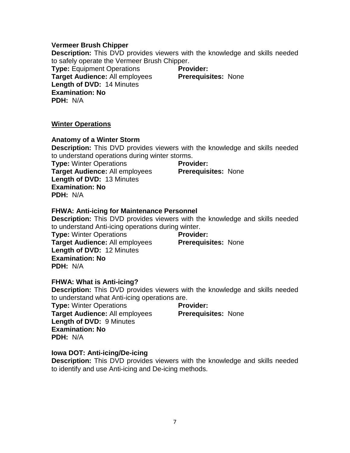#### **Vermeer Brush Chipper**

**Description:** This DVD provides viewers with the knowledge and skills needed to safely operate the Vermeer Brush Chipper.

**Type:** Equipment Operations **Target Audience:** All employees **Length of DVD:** 14 Minutes **Examination: No PDH:** N/A

**Provider: Prerequisites:** None

#### **Winter Operations**

#### **Anatomy of a Winter Storm**

**Description:** This DVD provides viewers with the knowledge and skills needed to understand operations during winter storms.

**Type:** Winter Operations **Target Audience:** All employees **Length of DVD:** 13 Minutes **Examination: No PDH:** N/A

**Provider:** 

**Prerequisites:** None

#### **FHWA: Anti-icing for Maintenance Personnel**

**Description:** This DVD provides viewers with the knowledge and skills needed to understand Anti-icing operations during winter.

**Type:** Winter Operations **Target Audience:** All employees **Length of DVD:** 12 Minutes **Examination: No PDH:** N/A

**Provider:** 

#### **Prerequisites:** None

#### **FHWA: What is Anti-icing?**

**Description:** This DVD provides viewers with the knowledge and skills needed to understand what Anti-icing operations are.

**Type:** Winter Operations **Target Audience:** All employees **Length of DVD:** 9 Minutes **Examination: No PDH:** N/A

**Provider: Prerequisites:** None

#### **Iowa DOT: Anti-icing/De-icing**

**Description:** This DVD provides viewers with the knowledge and skills needed to identify and use Anti-icing and De-icing methods.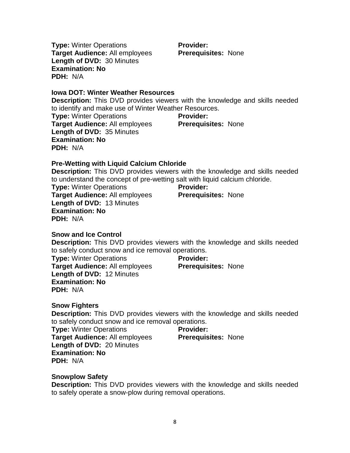**Type:** Winter Operations **Target Audience:** All employees **Length of DVD:** 30 Minutes **Examination: No PDH:** N/A

**Provider: Prerequisites:** None

**Iowa DOT: Winter Weather Resources**

**Description:** This DVD provides viewers with the knowledge and skills needed to identify and make use of Winter Weather Resources.

**Type:** Winter Operations **Target Audience:** All employees **Length of DVD:** 35 Minutes **Examination: No PDH:** N/A **Provider: Prerequisites:** None

**Pre-Wetting with Liquid Calcium Chloride**

**Description:** This DVD provides viewers with the knowledge and skills needed to understand the concept of pre-wetting salt with liquid calcium chloride.

**Type:** Winter Operations **Target Audience:** All employees **Length of DVD:** 13 Minutes **Examination: No PDH:** N/A

**Provider: Prerequisites:** None

**Snow and Ice Control**

**Description:** This DVD provides viewers with the knowledge and skills needed to safely conduct snow and ice removal operations.

**Type:** Winter Operations **Target Audience:** All employees **Length of DVD:** 12 Minutes **Examination: No PDH:** N/A **Provider:** 

**Prerequisites:** None

**Snow Fighters**

**Description:** This DVD provides viewers with the knowledge and skills needed to safely conduct snow and ice removal operations.

**Type:** Winter Operations **Target Audience:** All employees **Length of DVD:** 20 Minutes **Examination: No PDH:** N/A

**Provider: Prerequisites:** None

**Snowplow Safety**

**Description:** This DVD provides viewers with the knowledge and skills needed to safely operate a snow-plow during removal operations.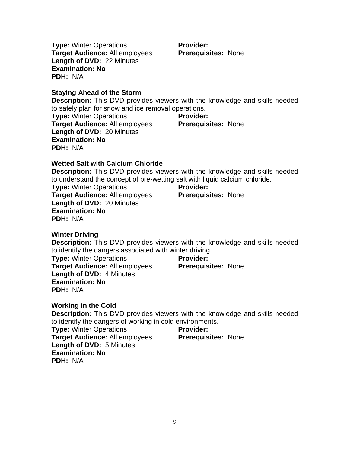**Type:** Winter Operations **Target Audience:** All employees **Length of DVD:** 22 Minutes **Examination: No PDH:** N/A

**Staying Ahead of the Storm**

**Description:** This DVD provides viewers with the knowledge and skills needed to safely plan for snow and ice removal operations.

**Type:** Winter Operations **Target Audience:** All employees **Length of DVD:** 20 Minutes **Examination: No PDH:** N/A **Provider: Prerequisites:** None

#### **Wetted Salt with Calcium Chloride**

**Description:** This DVD provides viewers with the knowledge and skills needed to understand the concept of pre-wetting salt with liquid calcium chloride.

**Type:** Winter Operations **Target Audience:** All employees **Length of DVD:** 20 Minutes **Examination: No PDH:** N/A

**Provider: Prerequisites:** None

**Winter Driving**

**Description:** This DVD provides viewers with the knowledge and skills needed to identify the dangers associated with winter driving.

**Type:** Winter Operations **Target Audience:** All employees **Length of DVD:** 4 Minutes **Examination: No PDH:** N/A

**Provider: Prerequisites:** None

**Prerequisites:** None

**Working in the Cold**

**Description:** This DVD provides viewers with the knowledge and skills needed to identify the dangers of working in cold environments.

**Provider:** 

**Type:** Winter Operations **Target Audience:** All employees **Length of DVD:** 5 Minutes **Examination: No PDH:** N/A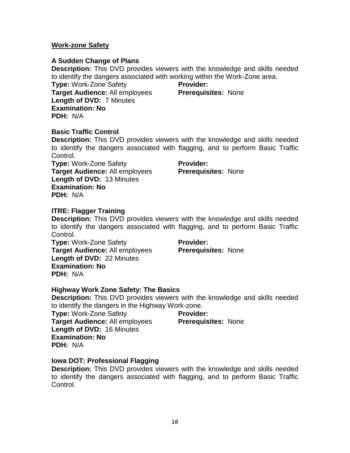#### **Work-zone Safety**

#### **A Sudden Change of Plans**

**Description:** This DVD provides viewers with the knowledge and skills needed to identify the dangers associated with working within the Work-Zone area.

**Type:** Work-Zone Safety **Target Audience:** All employees **Length of DVD:** 7 Minutes **Examination: No PDH:** N/A

**Provider: Prerequisites:** None

#### **Basic Traffic Control**

**Description:** This DVD provides viewers with the knowledge and skills needed to identify the dangers associated with flagging, and to perform Basic Traffic Control.

**Type:** Work-Zone Safety **Target Audience:** All employees **Length of DVD:** 13 Minutes **Examination: No PDH:** N/A

**Provider: Prerequisites:** None

#### **ITRE: Flagger Training**

**Description:** This DVD provides viewers with the knowledge and skills needed to identify the dangers associated with flagging, and to perform Basic Traffic Control.

**Type:** Work-Zone Safety **Target Audience:** All employees **Length of DVD:** 22 Minutes **Examination: No PDH:** N/A

**Provider: Prerequisites:** None

#### **Highway Work Zone Safety: The Basics**

**Description:** This DVD provides viewers with the knowledge and skills needed to identify the dangers in the Highway Work-zone.

**Type:** Work-Zone Safety **Target Audience:** All employees **Length of DVD:** 16 Minutes **Examination: No PDH:** N/A

**Provider:** 

**Prerequisites:** None

#### **Iowa DOT: Professional Flagging**

**Description:** This DVD provides viewers with the knowledge and skills needed to identify the dangers associated with flagging, and to perform Basic Traffic Control.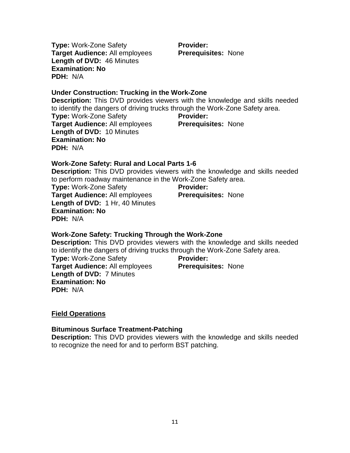**Type:** Work-Zone Safety **Target Audience:** All employees **Length of DVD:** 46 Minutes **Examination: No PDH:** N/A

**Provider: Prerequisites:** None

#### **Under Construction: Trucking in the Work-Zone**

**Description:** This DVD provides viewers with the knowledge and skills needed to identify the dangers of driving trucks through the Work-Zone Safety area. **Type:** Work-Zone Safety

**Target Audience:** All employees **Length of DVD:** 10 Minutes **Examination: No PDH:** N/A

**Provider: Prerequisites:** None

#### **Work-Zone Safety: Rural and Local Parts 1-6**

**Description:** This DVD provides viewers with the knowledge and skills needed to perform roadway maintenance in the Work-Zone Safety area.

**Type:** Work-Zone Safety **Target Audience:** All employees **Length of DVD:** 1 Hr, 40 Minutes **Examination: No PDH:** N/A **Provider:** 

**Prerequisites:** None

#### **Work-Zone Safety: Trucking Through the Work-Zone**

**Description:** This DVD provides viewers with the knowledge and skills needed to identify the dangers of driving trucks through the Work-Zone Safety area.

**Type:** Work-Zone Safety **Target Audience:** All employees **Length of DVD:** 7 Minutes **Examination: No PDH:** N/A

**Provider: Prerequisites:** None

#### **Field Operations**

#### **Bituminous Surface Treatment-Patching**

**Description:** This DVD provides viewers with the knowledge and skills needed to recognize the need for and to perform BST patching.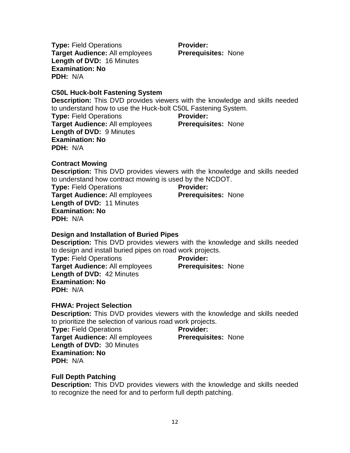**Type:** Field Operations **Target Audience:** All employees **Length of DVD:** 16 Minutes **Examination: No PDH:** N/A

**Provider: Prerequisites:** None

**C50L Huck-bolt Fastening System**

**Description:** This DVD provides viewers with the knowledge and skills needed to understand how to use the Huck-bolt C50L Fastening System.

**Type:** Field Operations **Target Audience:** All employees **Length of DVD:** 9 Minutes **Examination: No PDH:** N/A

**Provider: Prerequisites:** None

**Contract Mowing Description:** This DVD provides viewers with the knowledge and skills needed to understand how contract mowing is used by the NCDOT.

**Type:** Field Operations **Target Audience:** All employees **Length of DVD:** 11 Minutes **Examination: No PDH:** N/A

**Provider: Prerequisites:** None

#### **Design and Installation of Buried Pipes**

**Description:** This DVD provides viewers with the knowledge and skills needed to design and install buried pipes on road work projects.

**Type:** Field Operations **Target Audience:** All employees **Length of DVD:** 42 Minutes **Examination: No PDH:** N/A

**Provider: Prerequisites:** None

#### **FHWA: Project Selection**

**Description:** This DVD provides viewers with the knowledge and skills needed to prioritize the selection of various road work projects.

**Type:** Field Operations **Target Audience:** All employees **Length of DVD:** 30 Minutes **Examination: No PDH:** N/A

## **Provider:**

**Prerequisites:** None

#### **Full Depth Patching**

**Description:** This DVD provides viewers with the knowledge and skills needed to recognize the need for and to perform full depth patching.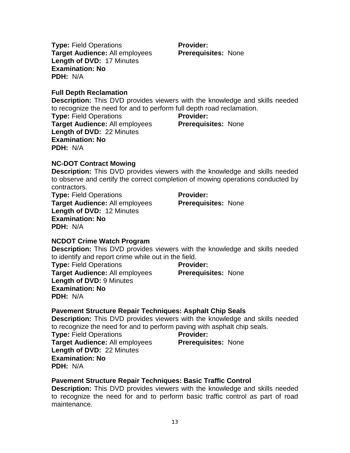**Type:** Field Operations **Target Audience:** All employees **Length of DVD:** 17 Minutes **Examination: No PDH:** N/A

**Full Depth Reclamation**

**Description:** This DVD provides viewers with the knowledge and skills needed to recognize the need for and to perform full depth road reclamation.

**Type:** Field Operations **Target Audience:** All employees **Length of DVD:** 22 Minutes **Examination: No PDH:** N/A

**Provider: Prerequisites:** None

#### **NC-DOT Contract Mowing**

**Description:** This DVD provides viewers with the knowledge and skills needed to observe and certify the correct completion of mowing operations conducted by contractors.

**Type:** Field Operations **Target Audience:** All employees **Length of DVD:** 12 Minutes **Examination: No PDH:** N/A

**Provider: Prerequisites:** None

#### **NCDOT Crime Watch Program**

**Description:** This DVD provides viewers with the knowledge and skills needed to identify and report crime while out in the field.

**Type:** Field Operations **Target Audience:** All employees **Length of DVD:** 9 Minutes **Examination: No PDH:** N/A **Provider: Prerequisites:** None

#### **Pavement Structure Repair Techniques: Asphalt Chip Seals**

**Description:** This DVD provides viewers with the knowledge and skills needed to recognize the need for and to perform paving with asphalt chip seals.

**Provider:** 

**Type:** Field Operations **Target Audience:** All employees **Length of DVD:** 22 Minutes **Examination: No PDH:** N/A

**Pavement Structure Repair Techniques: Basic Traffic Control**

**Description:** This DVD provides viewers with the knowledge and skills needed to recognize the need for and to perform basic traffic control as part of road maintenance.

**Prerequisites:** None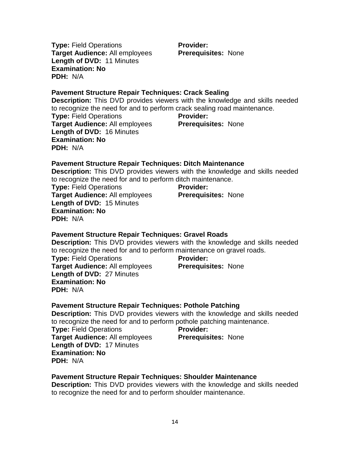**Type:** Field Operations **Target Audience:** All employees **Length of DVD:** 11 Minutes **Examination: No PDH:** N/A

**Provider: Prerequisites:** None

#### **Pavement Structure Repair Techniques: Crack Sealing**

**Description:** This DVD provides viewers with the knowledge and skills needed to recognize the need for and to perform crack sealing road maintenance.

**Type:** Field Operations **Target Audience:** All employees **Length of DVD:** 16 Minutes **Examination: No PDH:** N/A

**Provider: Prerequisites:** None

#### **Pavement Structure Repair Techniques: Ditch Maintenance**

**Description:** This DVD provides viewers with the knowledge and skills needed to recognize the need for and to perform ditch maintenance.

**Type:** Field Operations **Target Audience:** All employees **Length of DVD:** 15 Minutes **Examination: No PDH:** N/A

**Provider: Prerequisites:** None

#### **Pavement Structure Repair Techniques: Gravel Roads**

**Description:** This DVD provides viewers with the knowledge and skills needed to recognize the need for and to perform maintenance on gravel roads.

**Type:** Field Operations **Target Audience:** All employees **Length of DVD:** 27 Minutes **Examination: No PDH:** N/A

**Provider: Prerequisites:** None

#### **Pavement Structure Repair Techniques: Pothole Patching**

**Description:** This DVD provides viewers with the knowledge and skills needed to recognize the need for and to perform pothole patching maintenance.

**Type:** Field Operations **Target Audience:** All employees **Length of DVD:** 17 Minutes **Examination: No PDH:** N/A

#### **Prerequisites:** None

**Provider:** 

#### **Pavement Structure Repair Techniques: Shoulder Maintenance**

**Description:** This DVD provides viewers with the knowledge and skills needed to recognize the need for and to perform shoulder maintenance.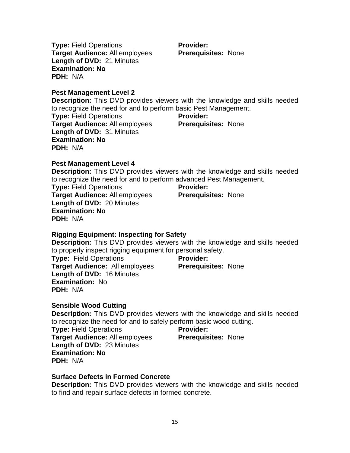**Type:** Field Operations **Target Audience:** All employees **Length of DVD:** 21 Minutes **Examination: No PDH:** N/A

**Provider: Prerequisites:** None

**Pest Management Level 2**

**Description:** This DVD provides viewers with the knowledge and skills needed to recognize the need for and to perform basic Pest Management.

**Type:** Field Operations **Target Audience:** All employees **Length of DVD:** 31 Minutes **Examination: No PDH:** N/A

**Provider: Prerequisites:** None

**Pest Management Level 4**

**Description:** This DVD provides viewers with the knowledge and skills needed to recognize the need for and to perform advanced Pest Management.

**Type:** Field Operations **Target Audience:** All employees **Length of DVD:** 20 Minutes **Examination: No PDH:** N/A

**Provider: Prerequisites:** None

#### **Rigging Equipment: Inspecting for Safety**

**Description:** This DVD provides viewers with the knowledge and skills needed to properly inspect rigging equipment for personal safety.

**Type:** Field Operations **Target Audience:** All employees **Length of DVD:** 16 Minutes **Examination:** No **PDH:** N/A

**Provider: Prerequisites:** None

**Sensible Wood Cutting**

**Description:** This DVD provides viewers with the knowledge and skills needed to recognize the need for and to safely perform basic wood cutting.

**Type:** Field Operations **Target Audience:** All employees **Length of DVD:** 23 Minutes **Examination: No PDH:** N/A

#### **Provider:**

**Prerequisites:** None

#### **Surface Defects in Formed Concrete**

**Description:** This DVD provides viewers with the knowledge and skills needed to find and repair surface defects in formed concrete.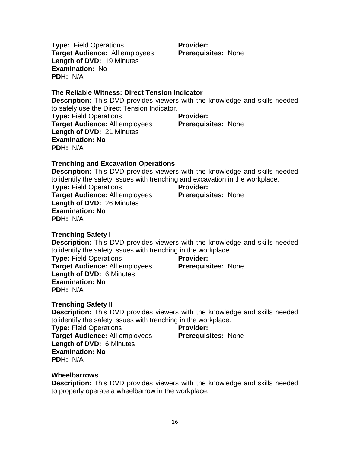**Provider:** 

**Prerequisites:** None

**Prerequisites:** None

**Prerequisites:** None

**Trenching Safety I**

**Examination: No**

**PDH:** N/A

**Type:** Field Operations

**Target Audience:** All employees **Length of DVD:** 26 Minutes

**Examination: No**

**PDH:** N/A

**PDH:** N/A

**Description:** This DVD provides viewers with the knowledge and skills needed to identify the safety issues with trenching in the workplace.

**Provider:** 

**Provider:** 

**Type:** Field Operations **Target Audience:** All employees **Length of DVD:** 6 Minutes **Examination: No PDH:** N/A

**Trenching Safety II**

**Description:** This DVD provides viewers with the knowledge and skills needed to identify the safety issues with trenching in the workplace.

**Type:** Field Operations **Target Audience:** All employees **Length of DVD:** 6 Minutes **Examination: No PDH:** N/A

#### **Wheelbarrows**

**Description:** This DVD provides viewers with the knowledge and skills needed to properly operate a wheelbarrow in the workplace.

**Provider: Prerequisites:** None

#### **Type:** Field Operations **Target Audience:** All employees **Length of DVD:** 19 Minutes **Examination:** No

**Trenching and Excavation Operations Description:** This DVD provides viewers with the knowledge and skills needed to identify the safety issues with trenching and excavation in the workplace.

**Description:** This DVD provides viewers with the knowledge and skills needed

**Provider:** 

#### **Type:** Field Operations **Target Audience:** All employees **Length of DVD:** 21 Minutes **Prerequisites:** None

to safely use the Direct Tension Indicator.

**The Reliable Witness: Direct Tension Indicator**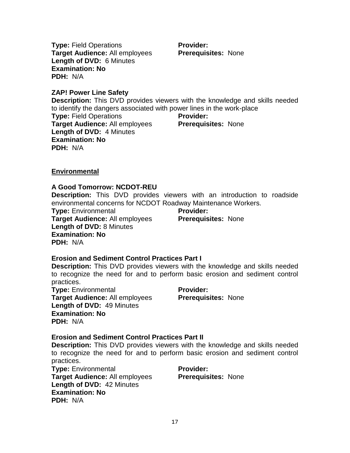**Type:** Field Operations **Target Audience:** All employees **Length of DVD:** 6 Minutes **Examination: No PDH:** N/A

**Provider: Prerequisites:** None

**ZAP! Power Line Safety**

**Description:** This DVD provides viewers with the knowledge and skills needed to identify the dangers associated with power lines in the work-place

**Type:** Field Operations **Target Audience:** All employees **Length of DVD:** 4 Minutes **Examination: No PDH:** N/A

**Provider: Prerequisites:** None

#### **Environmental**

#### **A Good Tomorrow: NCDOT-REU**

**Description:** This DVD provides viewers with an introduction to roadside environmental concerns for NCDOT Roadway Maintenance Workers.

**Type:** Environmental **Target Audience:** All employees **Length of DVD:** 8 Minutes **Examination: No PDH:** N/A

**Provider: Prerequisites:** None

#### **Erosion and Sediment Control Practices Part I**

**Description:** This DVD provides viewers with the knowledge and skills needed to recognize the need for and to perform basic erosion and sediment control practices.

**Type:** Environmental **Target Audience:** All employees **Length of DVD:** 49 Minutes **Examination: No PDH:** N/A

**Provider: Prerequisites:** None

#### **Erosion and Sediment Control Practices Part II**

**Description:** This DVD provides viewers with the knowledge and skills needed to recognize the need for and to perform basic erosion and sediment control practices.

**Type:** Environmental **Target Audience:** All employees **Length of DVD:** 42 Minutes **Examination: No PDH:** N/A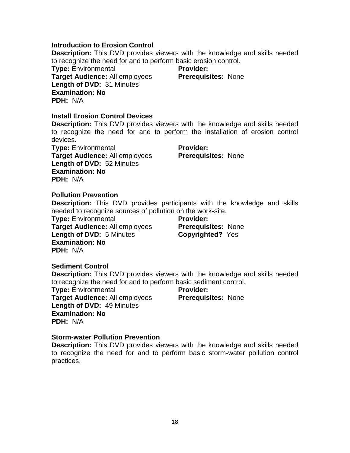#### **Introduction to Erosion Control**

**Description:** This DVD provides viewers with the knowledge and skills needed to recognize the need for and to perform basic erosion control.

**Type:** Environmental **Target Audience:** All employees **Length of DVD:** 31 Minutes **Examination: No PDH:** N/A

**Provider: Prerequisites:** None

#### **Install Erosion Control Devices**

**Description:** This DVD provides viewers with the knowledge and skills needed to recognize the need for and to perform the installation of erosion control devices.

**Type:** Environmental **Target Audience:** All employees **Length of DVD:** 52 Minutes **Examination: No PDH:** N/A

**Provider: Prerequisites:** None

#### **Pollution Prevention**

**Description:** This DVD provides participants with the knowledge and skills needed to recognize sources of pollution on the work-site.

**Type:** Environmental **Target Audience:** All employees **Length of DVD:** 5 Minutes **Examination: No PDH:** N/A

**Provider: Prerequisites:** None **Copyrighted?** Yes

#### **Sediment Control**

**Description:** This DVD provides viewers with the knowledge and skills needed to recognize the need for and to perform basic sediment control. **Type:** Environmental **Target Audience:** All employees **Length of DVD:** 49 Minutes **Examination: No PDH:** N/A **Provider: Prerequisites:** None

#### **Storm-water Pollution Prevention**

**Description:** This DVD provides viewers with the knowledge and skills needed to recognize the need for and to perform basic storm-water pollution control practices.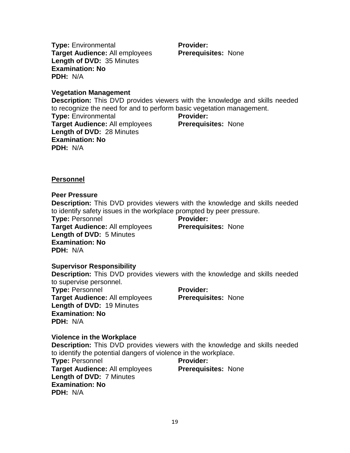**Type:** Environmental **Target Audience:** All employees **Length of DVD:** 35 Minutes **Examination: No PDH:** N/A

**Provider: Prerequisites:** None

**Vegetation Management**

**Description:** This DVD provides viewers with the knowledge and skills needed to recognize the need for and to perform basic vegetation management.

**Type:** Environmental **Target Audience:** All employees **Length of DVD:** 28 Minutes **Examination: No PDH:** N/A

**Provider: Prerequisites:** None

**Personnel**

#### **Peer Pressure**

**Description:** This DVD provides viewers with the knowledge and skills needed to identify safety issues in the workplace prompted by peer pressure.

**Type:** Personnel **Target Audience:** All employees **Length of DVD:** 5 Minutes **Examination: No PDH:** N/A

**Provider: Prerequisites:** None

**Supervisor Responsibility Description:** This DVD provides viewers with the knowledge and skills needed to supervise personnel. **Type:** Personnel **Target Audience:** All employees **Length of DVD:** 19 Minutes **Examination: No PDH:** N/A **Provider: Prerequisites:** None

#### **Violence in the Workplace**

**Description:** This DVD provides viewers with the knowledge and skills needed to identify the potential dangers of violence in the workplace.

**Type:** Personnel **Target Audience:** All employees **Length of DVD:** 7 Minutes **Examination: No PDH:** N/A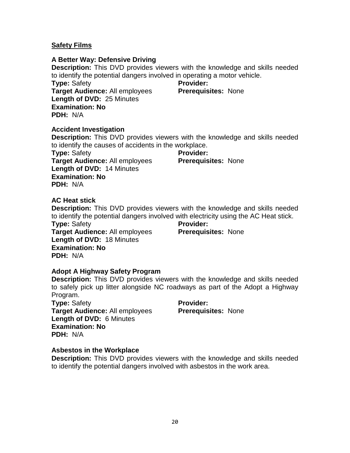#### **Safety Films**

#### **A Better Way: Defensive Driving**

**Description:** This DVD provides viewers with the knowledge and skills needed to identify the potential dangers involved in operating a motor vehicle.

**Type:** Safety **Target Audience:** All employees **Length of DVD:** 25 Minutes **Examination: No PDH:** N/A

**Provider: Prerequisites:** None

#### **Accident Investigation**

**Description:** This DVD provides viewers with the knowledge and skills needed to identify the causes of accidents in the workplace.

**Type:** Safety **Target Audience:** All employees **Length of DVD:** 14 Minutes **Examination: No PDH:** N/A

**Provider:** 

#### **Prerequisites:** None

#### **AC Heat stick**

**Description:** This DVD provides viewers with the knowledge and skills needed to identify the potential dangers involved with electricity using the AC Heat stick.

**Type:** Safety **Target Audience:** All employees **Length of DVD:** 18 Minutes **Examination: No PDH:** N/A

**Provider:** 

**Prerequisites:** None

#### **Adopt A Highway Safety Program**

**Description:** This DVD provides viewers with the knowledge and skills needed to safely pick up litter alongside NC roadways as part of the Adopt a Highway Program.

**Type:** Safety **Target Audience:** All employees **Length of DVD:** 6 Minutes **Examination: No PDH:** N/A

**Provider: Prerequisites:** None

#### **Asbestos in the Workplace**

**Description:** This DVD provides viewers with the knowledge and skills needed to identify the potential dangers involved with asbestos in the work area.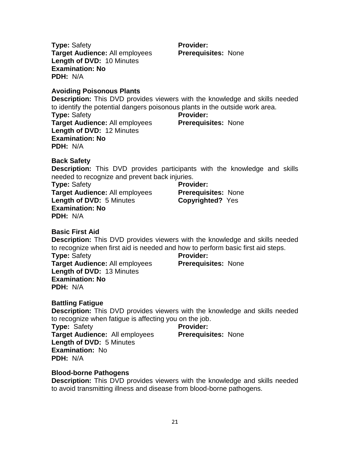**Type:** Safety **Target Audience:** All employees **Length of DVD:** 10 Minutes **Examination: No PDH:** N/A

#### **Avoiding Poisonous Plants**

**Description:** This DVD provides viewers with the knowledge and skills needed to identify the potential dangers poisonous plants in the outside work area. **Type:** Safety **Target Audience:** All employees **Length of DVD:** 12 Minutes **Examination: No PDH:** N/A **Provider: Prerequisites:** None

**Back Safety**

**Description:** This DVD provides participants with the knowledge and skills needed to recognize and prevent back injuries.

**Type:** Safety **Target Audience:** All employees **Length of DVD:** 5 Minutes **Examination: No PDH:** N/A

**Provider: Prerequisites:** None **Copyrighted?** Yes

**Basic First Aid**

**Description:** This DVD provides viewers with the knowledge and skills needed to recognize when first aid is needed and how to perform basic first aid steps.

**Type:** Safety **Target Audience:** All employees **Length of DVD:** 13 Minutes **Examination: No PDH:** N/A

**Prerequisites:** None

**Provider:** 

**Provider:** 

**Prerequisites:** None

#### **Battling Fatigue**

**Description:** This DVD provides viewers with the knowledge and skills needed to recognize when fatigue is affecting you on the job.

**Type:** Safety **Target Audience:** All employees **Length of DVD:** 5 Minutes **Examination:** No **PDH:** N/A

#### **Blood-borne Pathogens**

**Description:** This DVD provides viewers with the knowledge and skills needed to avoid transmitting illness and disease from blood-borne pathogens.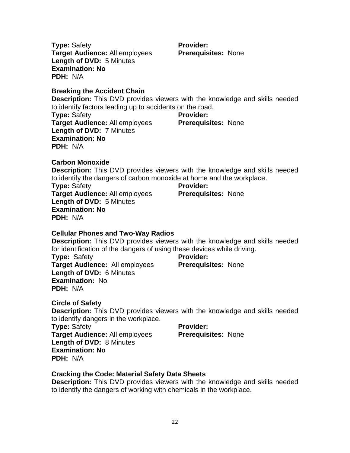**PDH:** N/A **Breaking the Accident Chain**

**Target Audience:** All employees

**Length of DVD:** 5 Minutes

**Provider: Prerequisites:** None

**Description:** This DVD provides viewers with the knowledge and skills needed

to identify factors leading up to accidents on the road. **Type:** Safety **Target Audience:** All employees **Length of DVD:** 7 Minutes **Examination: No Provider:** 

**Prerequisites:** None

**Carbon Monoxide**

**PDH:** N/A

**Type:** Safety

**Examination: No**

**Description:** This DVD provides viewers with the knowledge and skills needed to identify the dangers of carbon monoxide at home and the workplace.

**Type:** Safety **Target Audience:** All employees **Length of DVD:** 5 Minutes **Examination: No PDH:** N/A

**Provider: Prerequisites:** None

#### **Cellular Phones and Two-Way Radios**

**Description:** This DVD provides viewers with the knowledge and skills needed for identification of the dangers of using these devices while driving.

**Type:** Safety **Target Audience:** All employees **Length of DVD:** 6 Minutes **Examination:** No **PDH:** N/A

#### **Provider:**

**Prerequisites:** None

**Circle of Safety**

**Description:** This DVD provides viewers with the knowledge and skills needed to identify dangers in the workplace.

**Type:** Safety **Target Audience:** All employees **Length of DVD:** 8 Minutes **Examination: No PDH:** N/A

# **Provider:**

**Prerequisites:** None

#### **Cracking the Code: Material Safety Data Sheets**

**Description:** This DVD provides viewers with the knowledge and skills needed to identify the dangers of working with chemicals in the workplace.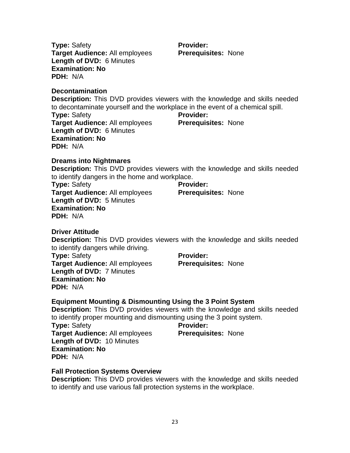**Type:** Safety **Target Audience:** All employees **Length of DVD:** 6 Minutes **Examination: No PDH:** N/A

#### **Decontamination**

**PDH:** N/A

**Description:** This DVD provides viewers with the knowledge and skills needed to decontaminate yourself and the workplace in the event of a chemical spill. **Type:** Safety **Target Audience:** All employees **Length of DVD:** 6 Minutes **Examination: No Provider: Prerequisites:** None

**Dreams into Nightmares**

**Description:** This DVD provides viewers with the knowledge and skills needed to identify dangers in the home and workplace.

**Type:** Safety **Target Audience:** All employees **Length of DVD:** 5 Minutes **Examination: No PDH:** N/A

#### **Driver Attitude**

**Description:** This DVD provides viewers with the knowledge and skills needed to identify dangers while driving.

**Type:** Safety **Target Audience:** All employees **Length of DVD:** 7 Minutes **Examination: No PDH:** N/A

**Provider:** 

**Prerequisites:** None

#### **Equipment Mounting & Dismounting Using the 3 Point System**

**Description:** This DVD provides viewers with the knowledge and skills needed to identify proper mounting and dismounting using the 3 point system.

**Type:** Safety **Target Audience:** All employees **Length of DVD:** 10 Minutes **Examination: No PDH:** N/A

#### **Fall Protection Systems Overview**

**Description:** This DVD provides viewers with the knowledge and skills needed to identify and use various fall protection systems in the workplace.

**Provider:** 

**Prerequisites:** None

**Provider: Prerequisites:** None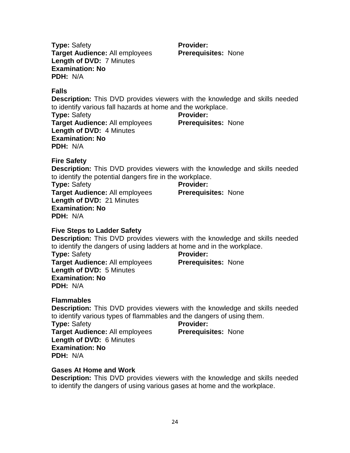**Type:** Safety **Target Audience:** All employees **Length of DVD:** 7 Minutes **Examination: No PDH:** N/A

**Provider: Prerequisites:** None

**Falls**

**Description:** This DVD provides viewers with the knowledge and skills needed to identify various fall hazards at home and the workplace.

**Type:** Safety **Target Audience:** All employees **Length of DVD:** 4 Minutes **Examination: No PDH:** N/A

**Provider: Prerequisites:** None

**Fire Safety**

**Description:** This DVD provides viewers with the knowledge and skills needed to identify the potential dangers fire in the workplace.

**Type:** Safety **Target Audience:** All employees **Length of DVD:** 21 Minutes **Examination: No PDH:** N/A

**Provider: Prerequisites:** None

#### **Five Steps to Ladder Safety**

**Description:** This DVD provides viewers with the knowledge and skills needed to identify the dangers of using ladders at home and in the workplace.

**Type:** Safety **Target Audience:** All employees **Length of DVD:** 5 Minutes **Examination: No PDH:** N/A

**Provider: Prerequisites:** None

#### **Flammables**

**Description:** This DVD provides viewers with the knowledge and skills needed to identify various types of flammables and the dangers of using them.

**Type:** Safety **Target Audience:** All employees **Length of DVD:** 6 Minutes **Examination: No PDH:** N/A

#### **Provider: Prerequisites:** None

**Gases At Home and Work**

**Description:** This DVD provides viewers with the knowledge and skills needed to identify the dangers of using various gases at home and the workplace.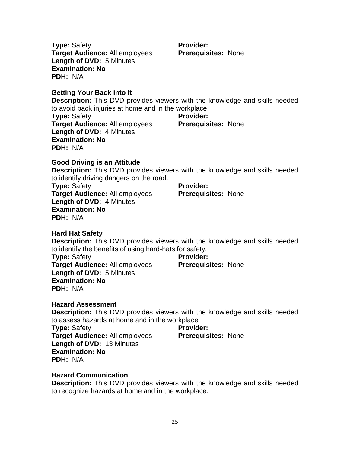**Type:** Safety **Target Audience:** All employees **Length of DVD:** 5 Minutes **Examination: No PDH:** N/A

**Getting Your Back into It**

**Description:** This DVD provides viewers with the knowledge and skills needed to avoid back injuries at home and in the workplace.

**Provider:** 

**Prerequisites:** None

**Type:** Safety **Target Audience:** All employees **Length of DVD:** 4 Minutes **Examination: No PDH:** N/A **Provider: Prerequisites:** None

#### **Good Driving is an Attitude**

**Description:** This DVD provides viewers with the knowledge and skills needed to identify driving dangers on the road.

**Type:** Safety **Target Audience:** All employees **Length of DVD:** 4 Minutes **Examination: No PDH:** N/A

**Provider: Prerequisites:** None

#### **Hard Hat Safety**

**Description:** This DVD provides viewers with the knowledge and skills needed to identify the benefits of using hard-hats for safety.

**Type:** Safety **Target Audience:** All employees **Length of DVD:** 5 Minutes **Examination: No PDH:** N/A **Provider:** 

# **Prerequisites:** None

**Provider:** 

**Prerequisites:** None

#### **Hazard Assessment**

**Description:** This DVD provides viewers with the knowledge and skills needed to assess hazards at home and in the workplace.

**Type:** Safety **Target Audience:** All employees **Length of DVD:** 13 Minutes **Examination: No PDH:** N/A

#### **Hazard Communication**

**Description:** This DVD provides viewers with the knowledge and skills needed to recognize hazards at home and in the workplace.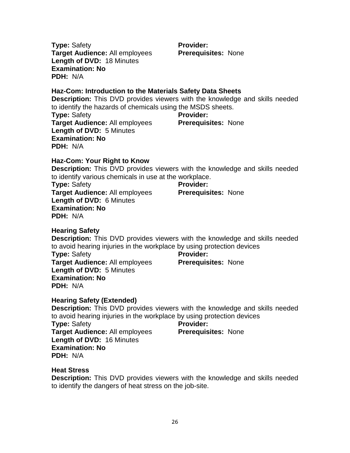**Type:** Safety **Target Audience:** All employees **Length of DVD:** 18 Minutes **Examination: No PDH:** N/A

**Provider: Prerequisites:** None

#### **Haz-Com: Introduction to the Materials Safety Data Sheets**

**Description:** This DVD provides viewers with the knowledge and skills needed to identify the hazards of chemicals using the MSDS sheets.

**Type:** Safety **Target Audience:** All employees **Length of DVD:** 5 Minutes **Examination: No PDH:** N/A **Provider: Prerequisites:** None

#### **Haz-Com: Your Right to Know**

**Description:** This DVD provides viewers with the knowledge and skills needed to identify various chemicals in use at the workplace.

**Type:** Safety **Target Audience:** All employees **Length of DVD:** 6 Minutes **Examination: No PDH:** N/A

#### **Provider: Prerequisites:** None

#### **Hearing Safety**

**Description:** This DVD provides viewers with the knowledge and skills needed to avoid hearing injuries in the workplace by using protection devices

**Type:** Safety **Target Audience:** All employees **Length of DVD:** 5 Minutes **Examination: No PDH:** N/A

**Provider:** 

**Prerequisites:** None

#### **Hearing Safety (Extended)**

**Description:** This DVD provides viewers with the knowledge and skills needed to avoid hearing injuries in the workplace by using protection devices

**Type:** Safety **Target Audience:** All employees **Length of DVD:** 16 Minutes **Examination: No PDH:** N/A

#### **Provider:**

**Prerequisites:** None

**Heat Stress**

**Description:** This DVD provides viewers with the knowledge and skills needed to identify the dangers of heat stress on the job-site.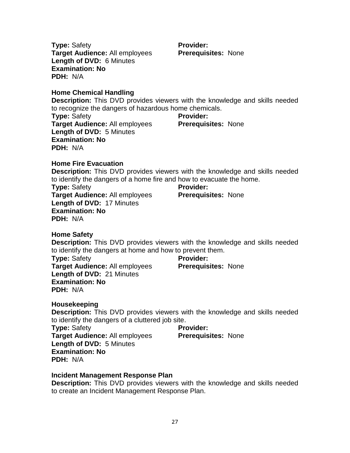**Type:** Safety **Target Audience:** All employees **Length of DVD:** 6 Minutes **Examination: No PDH:** N/A

**Home Chemical Handling**

**Description:** This DVD provides viewers with the knowledge and skills needed to recognize the dangers of hazardous home chemicals.

**Provider:** 

**Prerequisites:** None

**Type:** Safety **Target Audience:** All employees **Length of DVD:** 5 Minutes **Examination: No PDH:** N/A **Provider: Prerequisites:** None

#### **Home Fire Evacuation**

**Description:** This DVD provides viewers with the knowledge and skills needed to identify the dangers of a home fire and how to evacuate the home.

**Type:** Safety **Target Audience:** All employees **Length of DVD:** 17 Minutes **Examination: No PDH:** N/A

**Provider: Prerequisites:** None

**Home Safety**

**Description:** This DVD provides viewers with the knowledge and skills needed to identify the dangers at home and how to prevent them.

**Type:** Safety **Target Audience:** All employees **Length of DVD:** 21 Minutes **Examination: No PDH:** N/A

**Provider: Prerequisites:** None

**Prerequisites:** None

#### **Housekeeping**

**Description:** This DVD provides viewers with the knowledge and skills needed to identify the dangers of a cluttered job site.

**Provider:** 

**Type:** Safety **Target Audience:** All employees **Length of DVD:** 5 Minutes **Examination: No PDH:** N/A

#### **Incident Management Response Plan**

**Description:** This DVD provides viewers with the knowledge and skills needed to create an Incident Management Response Plan.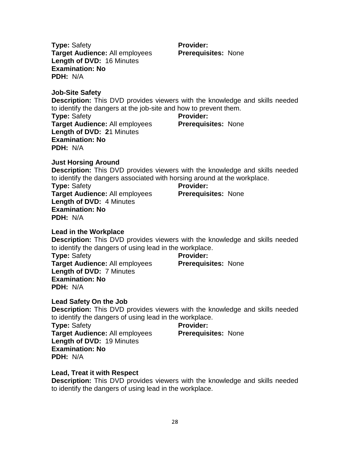**Description:** This DVD provides viewers with the knowledge and skills needed

**Type:** Safety **Target Audience:** All employees **Provider: Prerequisites:** None

**Target Audience:** All employees **Length of DVD: 2**1 Minutes **Examination: No Prerequisites:** None

to identify the dangers at the job-site and how to prevent them.

**Just Horsing Around**

**Type:** Safety

**PDH:** N/A

**Examination: No**

**Job-Site Safety**

**Type:** Safety

**PDH:** N/A

**Description:** This DVD provides viewers with the knowledge and skills needed to identify the dangers associated with horsing around at the workplace.

**Description:** This DVD provides viewers with the knowledge and skills needed

**Provider:** 

**Provider:** 

**Provider:** 

**Prerequisites:** None

**Prerequisites:** None

**Type:** Safety **Target Audience:** All employees **Length of DVD:** 4 Minutes **Examination: No PDH:** N/A

**Target Audience:** All employees **Length of DVD:** 16 Minutes

## **Lead in the Workplace**

**Description:** This DVD provides viewers with the knowledge and skills needed to identify the dangers of using lead in the workplace.

**Type:** Safety **Target Audience:** All employees **Length of DVD:** 7 Minutes **Examination: No PDH:** N/A

#### **Lead Safety On the Job**

to identify the dangers of using lead in the workplace.

**Length of DVD:** 19 Minutes **Examination: No PDH:** N/A

#### **Lead, Treat it with Respect**

**Description:** This DVD provides viewers with the knowledge and skills needed to identify the dangers of using lead in the workplace.

# 28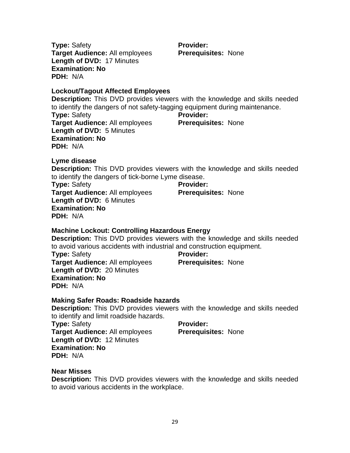**Type:** Safety **Target Audience:** All employees **Length of DVD:** 17 Minutes **Examination: No PDH:** N/A

#### **Lockout/Tagout Affected Employees**

**Description:** This DVD provides viewers with the knowledge and skills needed to identify the dangers of not safety-tagging equipment during maintenance. **Type:** Safety **Target Audience:** All employees **Length of DVD:** 5 Minutes **Examination: No PDH:** N/A **Provider: Prerequisites:** None

**Lyme disease**

**Description:** This DVD provides viewers with the knowledge and skills needed to identify the dangers of tick-borne Lyme disease.

**Type:** Safety **Target Audience:** All employees **Length of DVD:** 6 Minutes **Examination: No PDH:** N/A

#### **Machine Lockout: Controlling Hazardous Energy**

**Description:** This DVD provides viewers with the knowledge and skills needed to avoid various accidents with industrial and construction equipment.

**Type:** Safety **Target Audience:** All employees **Length of DVD:** 20 Minutes **Examination: No PDH:** N/A

**Provider:** 

**Prerequisites:** None

#### **Making Safer Roads: Roadside hazards**

**Description:** This DVD provides viewers with the knowledge and skills needed to identify and limit roadside hazards.

**Type:** Safety **Target Audience:** All employees **Length of DVD:** 12 Minutes **Examination: No PDH:** N/A

#### **Provider:**

**Prerequisites:** None

**Near Misses**

**Description:** This DVD provides viewers with the knowledge and skills needed to avoid various accidents in the workplace.

**Provider: Prerequisites:** None

**Prerequisites:** None

**Provider:**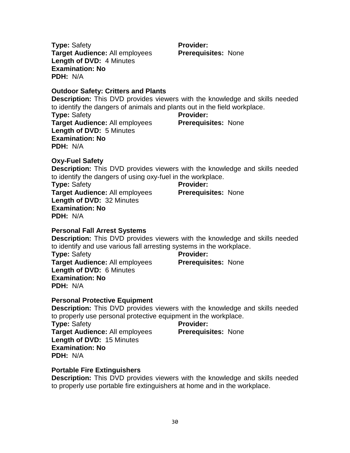**Type:** Safety **Target Audience:** All employees **Length of DVD:** 4 Minutes **Examination: No PDH:** N/A

#### **Outdoor Safety: Critters and Plants**

**Description:** This DVD provides viewers with the knowledge and skills needed to identify the dangers of animals and plants out in the field workplace.

**Type:** Safety **Target Audience:** All employees **Length of DVD:** 5 Minutes **Examination: No PDH:** N/A

#### **Provider: Prerequisites:** None

**Prerequisites:** None

**Provider:** 

**Oxy-Fuel Safety**

**Description:** This DVD provides viewers with the knowledge and skills needed to identify the dangers of using oxy-fuel in the workplace.

**Type:** Safety **Target Audience:** All employees **Length of DVD:** 32 Minutes **Examination: No PDH:** N/A

#### **Provider: Prerequisites:** None

#### **Personal Fall Arrest Systems**

**Description:** This DVD provides viewers with the knowledge and skills needed to identify and use various fall arresting systems in the workplace.

**Type:** Safety **Target Audience:** All employees **Length of DVD:** 6 Minutes **Examination: No PDH:** N/A

#### **Provider:**

**Prerequisites:** None

# **Personal Protective Equipment**

**Description:** This DVD provides viewers with the knowledge and skills needed to properly use personal protective equipment in the workplace.

**Type:** Safety **Target Audience:** All employees **Length of DVD:** 15 Minutes **Examination: No PDH:** N/A

#### **Provider:**

**Prerequisites:** None

#### **Portable Fire Extinguishers**

**Description:** This DVD provides viewers with the knowledge and skills needed to properly use portable fire extinguishers at home and in the workplace.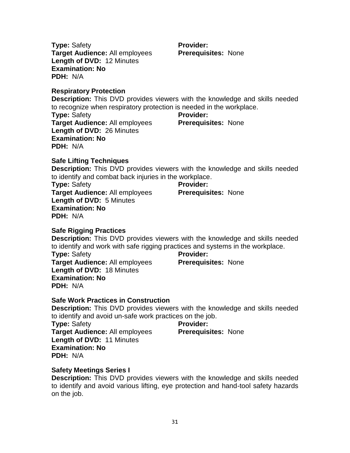**Type:** Safety **Target Audience:** All employees **Length of DVD:** 12 Minutes **Examination: No PDH:** N/A

#### **Respiratory Protection**

**Description:** This DVD provides viewers with the knowledge and skills needed to recognize when respiratory protection is needed in the workplace.

**Type:** Safety **Target Audience:** All employees **Length of DVD:** 26 Minutes **Examination: No PDH:** N/A

# **Provider: Prerequisites:** None

**Safe Lifting Techniques Description:** This DVD provides viewers with the knowledge and skills needed to identify and combat back injuries in the workplace.

**Type:** Safety **Target Audience:** All employees **Length of DVD:** 5 Minutes **Examination: No PDH:** N/A

#### **Safe Rigging Practices**

**Description:** This DVD provides viewers with the knowledge and skills needed to identify and work with safe rigging practices and systems in the workplace.

**Type:** Safety **Target Audience:** All employees **Length of DVD:** 18 Minutes **Examination: No PDH:** N/A

**Provider:** 

**Prerequisites:** None

**Prerequisites:** None

#### **Safe Work Practices in Construction**

**Description:** This DVD provides viewers with the knowledge and skills needed to identify and avoid un-safe work practices on the job.

**Provider:** 

**Type:** Safety **Target Audience:** All employees **Length of DVD:** 11 Minutes **Examination: No PDH:** N/A

#### **Safety Meetings Series I**

**Description:** This DVD provides viewers with the knowledge and skills needed to identify and avoid various lifting, eye protection and hand-tool safety hazards on the job.

## **Provider: Prerequisites:** None

**Prerequisites:** None

**Provider:**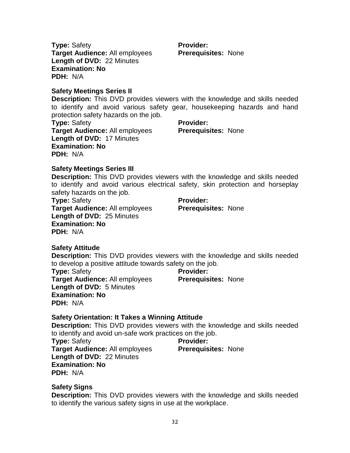**Type:** Safety **Target Audience:** All employees **Length of DVD:** 22 Minutes **Examination: No PDH:** N/A

**Safety Meetings Series II**

**Description:** This DVD provides viewers with the knowledge and skills needed to identify and avoid various safety gear, housekeeping hazards and hand protection safety hazards on the job.

**Provider:** 

**Provider:** 

**Prerequisites:** None

**Type:** Safety **Target Audience:** All employees **Length of DVD:** 17 Minutes **Examination: No PDH:** N/A

**Prerequisites:** None

#### **Safety Meetings Series III**

**Description:** This DVD provides viewers with the knowledge and skills needed to identify and avoid various electrical safety, skin protection and horseplay safety hazards on the job.

**Type:** Safety **Target Audience:** All employees **Length of DVD:** 25 Minutes **Examination: No PDH:** N/A

**Provider: Prerequisites:** None

#### **Safety Attitude**

**Description:** This DVD provides viewers with the knowledge and skills needed to develop a positive attitude towards safety on the job.

**Type:** Safety **Target Audience:** All employees **Length of DVD:** 5 Minutes **Examination: No PDH:** N/A **Provider: Prerequisites:** None

#### **Safety Orientation: It Takes a Winning Attitude**

**Description:** This DVD provides viewers with the knowledge and skills needed to identify and avoid un-safe work practices on the job.

**Type:** Safety **Target Audience:** All employees **Length of DVD:** 22 Minutes **Examination: No PDH:** N/A

**Provider: Prerequisites:** None

**Safety Signs**

**Description:** This DVD provides viewers with the knowledge and skills needed to identify the various safety signs in use at the workplace.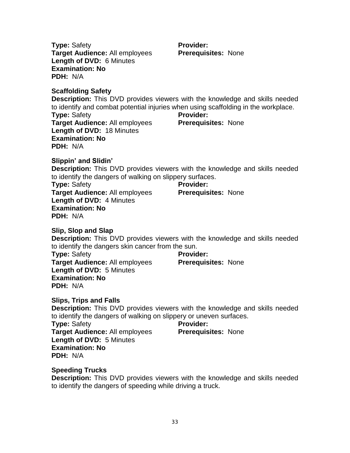**Type:** Safety **Target Audience:** All employees **Length of DVD:** 6 Minutes **Examination: No PDH:** N/A

**Provider: Prerequisites:** None

**Scaffolding Safety**

**Description:** This DVD provides viewers with the knowledge and skills needed to identify and combat potential injuries when using scaffolding in the workplace. **Type:** Safety **Target Audience:** All employees **Length of DVD:** 18 Minutes **Examination: No PDH:** N/A **Provider: Prerequisites:** None

**Slippin' and Slidin'**

**Description:** This DVD provides viewers with the knowledge and skills needed to identify the dangers of walking on slippery surfaces.

**Type:** Safety **Target Audience:** All employees **Length of DVD:** 4 Minutes **Examination: No PDH:** N/A

**Provider: Prerequisites:** None

**Slip, Slop and Slap**

**Description:** This DVD provides viewers with the knowledge and skills needed to identify the dangers skin cancer from the sun.

**Type:** Safety **Target Audience:** All employees **Length of DVD:** 5 Minutes **Examination: No PDH:** N/A

**Provider:** 

**Prerequisites:** None

**Slips, Trips and Falls**

**Description:** This DVD provides viewers with the knowledge and skills needed to identify the dangers of walking on slippery or uneven surfaces.

**Type:** Safety **Target Audience:** All employees **Length of DVD:** 5 Minutes **Examination: No PDH:** N/A

**Provider:** 

**Prerequisites:** None

**Speeding Trucks**

**Description:** This DVD provides viewers with the knowledge and skills needed to identify the dangers of speeding while driving a truck.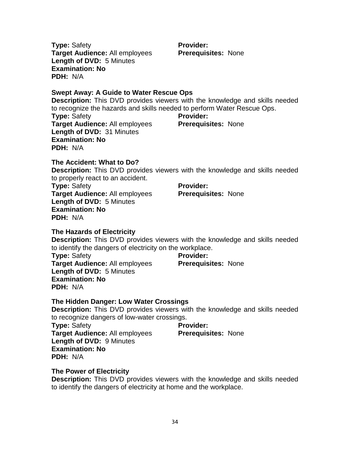**Type:** Safety **Target Audience:** All employees **Length of DVD:** 5 Minutes **Examination: No PDH:** N/A

**Swept Away: A Guide to Water Rescue Ops**

**Description:** This DVD provides viewers with the knowledge and skills needed to recognize the hazards and skills needed to perform Water Rescue Ops. **Type:** Safety **Target Audience:** All employees **Provider: Prerequisites:** None

**Length of DVD:** 31 Minutes **Examination: No PDH:** N/A

**The Accident: What to Do? Description:** This DVD provides viewers with the knowledge and skills needed to properly react to an accident. **Type:** Safety **Target Audience:** All employees **Length of DVD:** 5 Minutes **Provider: Prerequisites:** None

#### **The Hazards of Electricity**

**Examination: No**

**PDH:** N/A

**Description:** This DVD provides viewers with the knowledge and skills needed to identify the dangers of electricity on the workplace.

**Type:** Safety **Target Audience:** All employees **Length of DVD:** 5 Minutes **Examination: No PDH:** N/A

#### **The Hidden Danger: Low Water Crossings**

**Description:** This DVD provides viewers with the knowledge and skills needed to recognize dangers of low-water crossings.

**Type:** Safety **Target Audience:** All employees **Length of DVD:** 9 Minutes **Examination: No PDH:** N/A

# **Provider:**

**Provider:** 

**Prerequisites:** None

**Prerequisites:** None

**The Power of Electricity**

**Description:** This DVD provides viewers with the knowledge and skills needed to identify the dangers of electricity at home and the workplace.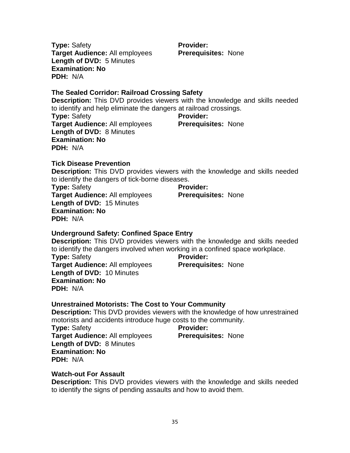**Description:** This DVD provides viewers with the knowledge of how unrestrained

motorists and accidents introduce huge costs to the community.

**Provider:** 

**Provider:** 

**Type:** Safety **Target Audience:** All employees **Length of DVD:** 8 Minutes **Examination: No**

**PDH:** N/A

**Type:** Safety

**PDH:** N/A

**Examination: No**

#### **Watch-out For Assault**

**Description:** This DVD provides viewers with the knowledge and skills needed to identify the signs of pending assaults and how to avoid them.

#### **The Sealed Corridor: Railroad Crossing Safety**

**Description:** This DVD provides viewers with the knowledge and skills needed to identify and help eliminate the dangers at railroad crossings.

**Type:** Safety **Target Audience:** All employees **Length of DVD:** 8 Minutes **Provider: Prerequisites:** None

**Description:** This DVD provides viewers with the knowledge and skills needed to identify the dangers of tick-borne diseases.

**Description:** This DVD provides viewers with the knowledge and skills needed to identify the dangers involved when working in a confined space workplace.

**Type:** Safety **Target Audience:** All employees **Length of DVD:** 15 Minutes **Examination: No PDH:** N/A

**Target Audience:** All employees **Length of DVD:** 10 Minutes

**Underground Safety: Confined Space Entry**

**Unrestrained Motorists: The Cost to Your Community**

**Provider: Prerequisites:** None

**Prerequisites:** None

**Prerequisites:** None

**Target Audience:** All employees

**Length of DVD:** 5 Minutes

**Type:** Safety

**PDH:** N/A

**Examination: No**

**Provider: Prerequisites:** None

**Examination: No PDH:** N/A **Tick Disease Prevention**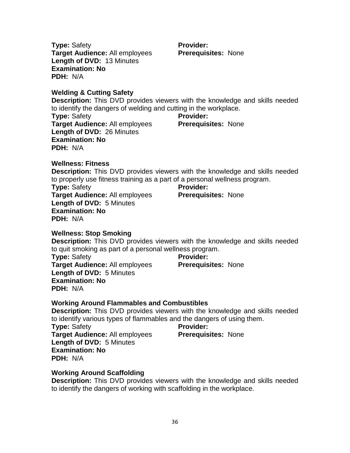**Type:** Safety **Target Audience:** All employees **Length of DVD:** 13 Minutes **Examination: No PDH:** N/A

**Welding & Cutting Safety**

**Description:** This DVD provides viewers with the knowledge and skills needed to identify the dangers of welding and cutting in the workplace.

**Type:** Safety **Target Audience:** All employees **Length of DVD:** 26 Minutes **Examination: No PDH:** N/A **Provider: Prerequisites:** None

**Wellness: Fitness Description:** This DVD provides viewers with the knowledge and skills needed to properly use fitness training as a part of a personal wellness program. **Type:** Safety **Target Audience:** All employees **Length of DVD:** 5 Minutes **Provider: Prerequisites:** None

**Wellness: Stop Smoking**

**Examination: No**

**PDH:** N/A

**Description:** This DVD provides viewers with the knowledge and skills needed to quit smoking as part of a personal wellness program.

**Type:** Safety **Target Audience:** All employees **Length of DVD:** 5 Minutes **Examination: No PDH:** N/A

**Provider: Prerequisites:** None

**Prerequisites:** None

#### **Working Around Flammables and Combustibles**

**Description:** This DVD provides viewers with the knowledge and skills needed to identify various types of flammables and the dangers of using them.

**Provider:** 

**Type:** Safety **Target Audience:** All employees **Length of DVD:** 5 Minutes **Examination: No PDH:** N/A

#### **Working Around Scaffolding**

**Description:** This DVD provides viewers with the knowledge and skills needed to identify the dangers of working with scaffolding in the workplace.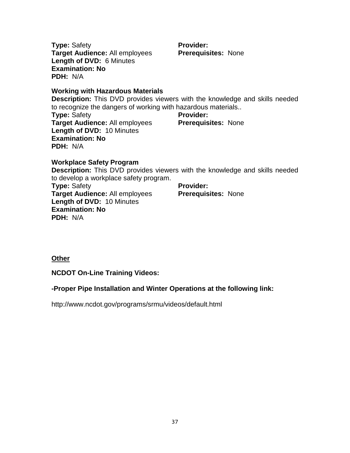**Type:** Safety **Target Audience:** All employees **Length of DVD:** 6 Minutes **Examination: No PDH:** N/A

**Provider: Prerequisites:** None

**Working with Hazardous Materials**

**Description:** This DVD provides viewers with the knowledge and skills needed to recognize the dangers of working with hazardous materials..

**Type:** Safety **Target Audience:** All employees **Length of DVD:** 10 Minutes **Examination: No PDH:** N/A **Provider: Prerequisites:** None

**Workplace Safety Program Description:** This DVD provides viewers with the knowledge and skills needed to develop a workplace safety program. **Type:** Safety **Target Audience:** All employees **Length of DVD:** 10 Minutes **Examination: No PDH:** N/A **Provider: Prerequisites:** None

**Other**

**NCDOT On-Line Training Videos:**

#### **-Proper Pipe Installation and Winter Operations at the following link:**

<http://www.ncdot.gov/programs/srmu/videos/default.html>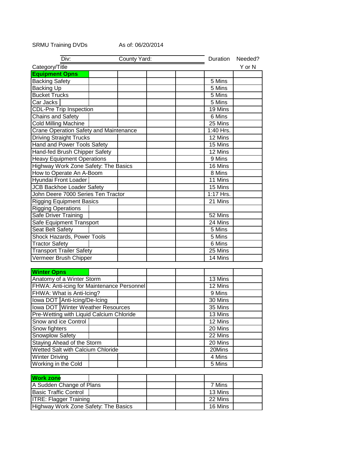#### SRMU Training DVDs As of: 06/20/2014

| Div:                                          | County Yard: | Duration  | Needed? |
|-----------------------------------------------|--------------|-----------|---------|
| Category/Title                                |              |           | Y or N  |
| <b>Equipment Opns</b>                         |              |           |         |
| <b>Backing Safety</b>                         |              | 5 Mins    |         |
| <b>Backing Up</b>                             |              | 5 Mins    |         |
| <b>Bucket Trucks</b>                          |              | 5 Mins    |         |
| Car Jacks                                     |              | 5 Mins    |         |
| <b>CDL-Pre Trip Inspection</b>                |              | 19 Mins   |         |
| Chains and Safety                             |              | 6 Mins    |         |
| <b>Cold Milling Machine</b>                   |              | 25 Mins   |         |
| <b>Crane Operation Safety and Maintenance</b> |              | 1:40 Hrs. |         |
| <b>Driving Straight Trucks</b>                |              | 12 Mins   |         |
| Hand and Power Tools Safety                   |              | 15 Mins   |         |
| Hand-fed Brush Chipper Safety                 |              | 12 Mins   |         |
| <b>Heavy Equipment Operations</b>             |              | 9 Mins    |         |
| Highway Work Zone Safety: The Basics          |              | 16 Mins   |         |
| How to Operate An A-Boom                      |              | 8 Mins    |         |
| Hyundai Front Loader                          |              | 11 Mins   |         |
| <b>JCB Backhoe Loader Safety</b>              |              | 15 Mins   |         |
| John Deere 7000 Series Ten Tractor            |              | 1:17 Hrs. |         |
| <b>Rigging Equipment Basics</b>               |              | 21 Mins   |         |
| <b>Rigging Operations</b>                     |              |           |         |
| Safe Driver Training                          |              | 52 Mins   |         |
| Safe Equipment Transport                      |              | 24 Mins   |         |
| Seat Belt Safety                              |              | 5 Mins    |         |
| Shock Hazards, Power Tools                    |              | 5 Mins    |         |
| <b>Tractor Safety</b>                         |              | 6 Mins    |         |
| <b>Transport Trailer Safety</b>               |              | 25 Mins   |         |
| Vermeer Brush Chipper                         |              | 14 Mins   |         |
|                                               |              |           |         |
| <b>Winter Opns</b>                            |              |           |         |
| Anatomy of a Winter Storm                     |              | 13 Mins   |         |
| FHWA: Anti-icing for Maintenance Personnel    |              | 12 Mins   |         |
| FHWA: What is Anti-Icing?                     |              | 9 Mins    |         |
| Iowa DOT Anti-Icing/De-Icing                  |              | 30 Mins   |         |
| <b>Iowa DOT Winter Weather Resources</b>      |              | 35 Mins   |         |
| Pre-Wetting with Liquid Calcium Chloride      |              | 13 Mins   |         |
| Snow and ice Control                          |              | 12 Mins   |         |
| Snow fighters                                 |              | 20 Mins   |         |
| Snowplow Safety                               |              | 22 Mins   |         |
| Staying Ahead of the Storm                    |              | 20 Mins   |         |
| Wetted Salt with Calcium Chloride             |              | 20Mins    |         |
| <b>Winter Driving</b>                         |              | 4 Mins    |         |
| Working in the Cold                           |              | 5 Mins    |         |
|                                               |              |           |         |
| <b>Work zone</b>                              |              |           |         |
| A Sudden Change of Plans                      |              | 7 Mins    |         |
|                                               |              |           |         |
| <b>Basic Traffic Control</b>                  |              | 13 Mins   |         |
| <b>ITRE: Flagger Training</b>                 |              | 22 Mins   |         |
| Highway Work Zone Safety: The Basics          |              | 16 Mins   |         |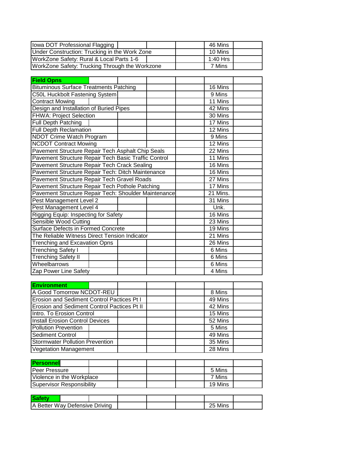| Iowa DOT Professional Flagging                 | 46 Mins  |
|------------------------------------------------|----------|
| Under Construction: Trucking in the Work Zone  | 10 Mins  |
| WorkZone Safety: Rural & Local Parts 1-6       | 1:40 Hrs |
| WorkZone Safety: Trucking Through the Workzone | 7 Mins   |

| <b>Field Opns</b>                                    |         |          |         |  |
|------------------------------------------------------|---------|----------|---------|--|
| <b>Bituminous Surface Treatments Patching</b>        | 16 Mins |          |         |  |
| <b>C50L Huckbolt Fastening System</b>                |         |          | 9 Mins  |  |
| <b>Contract Mowing</b>                               |         |          | 11 Mins |  |
| Design and Installation of Buried Pipes              |         |          | 42 Mins |  |
| <b>FHWA: Project Selection</b>                       |         |          | 30 Mins |  |
| <b>Full Depth Patching</b>                           |         |          | 17 Mins |  |
| <b>Full Depth Reclamation</b>                        |         |          | 12 Mins |  |
| <b>NDOT Crime Watch Program</b>                      |         |          | 9 Mins  |  |
| <b>NCDOT Contract Mowing</b>                         |         |          | 12 Mins |  |
| Pavement Structure Repair Tech Asphalt Chip Seals    |         |          | 22 Mins |  |
| Pavement Structure Repair Tech Basic Traffic Control |         |          | 11 Mins |  |
| Pavement Structure Repair Tech Crack Sealing         |         |          | 16 Mins |  |
| Pavement Structure Repair Tech: Ditch Maintenance    |         |          | 16 Mins |  |
| Pavement Structure Repair Tech Gravel Roads          |         |          | 27 Mins |  |
| Pavement Structure Repair Tech Pothole Patching      |         |          | 17 Mins |  |
| Pavement Structure Repair Tech: Shoulder Maintenance |         | 21 Mins. |         |  |
| Pest Management Level 2                              |         |          | 31 Mins |  |
| Pest Management Level 4                              |         |          | Unk.    |  |
| Rigging Equip: Inspecting for Safety                 |         | 16 Mins  |         |  |
| Sensible Wood Cutting                                |         |          | 23 Mins |  |
| Surface Defects in Formed Concrete                   |         |          | 19 Mins |  |
| The Reliable Witness Direct Tension Indicator        |         |          | 21 Mins |  |
| <b>Trenching and Excavation Opns</b>                 |         |          | 26 Mins |  |
| <b>Trenching Safety I</b>                            |         |          | 6 Mins  |  |
| <b>Trenching Safety II</b>                           |         |          | 6 Mins  |  |
| Wheelbarrows                                         |         |          | 6 Mins  |  |
| Zap Power Line Safety                                |         |          | 4 Mins  |  |
|                                                      |         |          |         |  |
| <b>Environment</b>                                   |         |          |         |  |
| A Good Tomorrow NCDOT-REU                            |         |          | 8 Mins  |  |
| <b>Erosion and Sediment Control Pactices Pt I</b>    |         | 49 Mins  |         |  |
| Erosion and Sediment Control Pactices Pt II          |         | 42 Mins  |         |  |
| Intro. To Erosion Control                            |         | 15 Mins  |         |  |
| <b>Install Erosion Control Devices</b>               |         | 52 Mins  |         |  |
| <b>Pollution Prevention</b>                          |         |          | 5 Mins  |  |
| <b>Sediment Control</b>                              |         |          | 49 Mins |  |
| <b>Stormwater Pollution Prevention</b>               |         |          | 35 Mins |  |
| <b>Vegetation Management</b>                         |         | 28 Mins  |         |  |
|                                                      |         |          |         |  |

| <b>IPersonnell</b>                |  |  |         |  |
|-----------------------------------|--|--|---------|--|
| IPeer Pressure                    |  |  | 5 Mins  |  |
| <b>IViolence in the Workplace</b> |  |  | 7 Mins  |  |
| Supervisor Responsibility         |  |  | 19 Mins |  |

| Safety                         |  |  |            |  |
|--------------------------------|--|--|------------|--|
| A Better Way Defensive Driving |  |  | Mins<br>25 |  |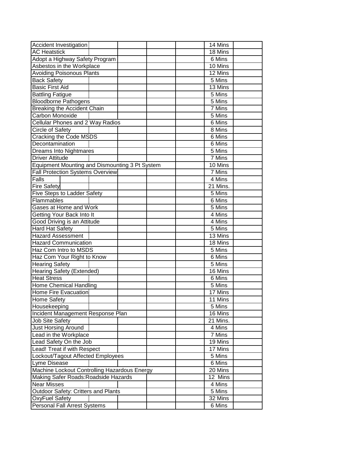| Accident Investigation                         | 14 Mins             |
|------------------------------------------------|---------------------|
| <b>AC Heatstick</b>                            | 18 Mins             |
| Adopt a Highway Safety Program                 | 6 Mins              |
| Asbestos in the Workplace                      | 10 Mins             |
| <b>Avoiding Poisonous Plants</b>               | 12 Mins             |
| <b>Back Safety</b>                             | $\overline{5}$ Mins |
| <b>Basic First Aid</b>                         | 13 Mins             |
| <b>Battling Fatigue</b>                        | 5 Mins              |
| <b>Bloodborne Pathogens</b>                    | 5 Mins              |
| <b>Breaking the Accident Chain</b>             | 7 Mins              |
| Carbon Monoxide                                | 5 Mins              |
| <b>Cellular Phones and 2 Way Radios</b>        | 6 Mins              |
| Circle of Safety                               | 8 Mins              |
| Cracking the Code MSDS                         | $6$ Mins            |
| Decontamination                                | 6 Mins              |
| Dreams Into Nightmares                         | 5 Mins              |
| <b>Driver Attitude</b>                         | 7 Mins              |
| Equipment Mounting and Dismounting 3 Pt System | 10 Mins             |
| <b>Fall Protection Systems Overview</b>        | 7 Mins              |
| Falls                                          | 4 Mins              |
| <b>Fire Safety</b>                             | 21 Mins.            |
| <b>Five Steps to Ladder Safety</b>             | 5 Mins              |
| Flammables                                     | 6 Mins              |
| Gases at Home and Work                         | 5 Mins              |
| Getting Your Back Into It                      | 4 Mins              |
| Good Driving is an Attitude                    | 4 Mins              |
| <b>Hard Hat Safety</b>                         | 5 Mins              |
| <b>Hazard Assessment</b>                       | 13 Mins             |
| <b>Hazard Communication</b>                    | 18 Mins             |
| Haz Com Intro to MSDS                          | 5 Mins              |
| Haz Com Your Right to Know                     | 6 Mins              |
| <b>Hearing Safety</b>                          | 5 Mins              |
| <b>Hearing Safety (Extended)</b>               | 16 Mins             |
| <b>Heat Stress</b>                             | 6 Mins              |
| <b>Home Chemical Handling</b>                  | 5 Mins              |
| <b>Home Fire Evacuation</b>                    | 17 Mins             |
| Home Safety                                    | 11 Mins             |
| Housekeeping                                   | 5 Mins              |
| Incident Management Response Plan              | 16 Mins             |
| Job Site Safety                                | 21 Mins.            |
| Just Horsing Around                            | 4 Mins              |
| Lead in the Workplace                          | 7 Mins              |
| Lead Safety On the Job                         | 19 Mins             |
| Lead! Treat if with Respect                    | 17 Mins             |
| Lockout/Tagout Affected Employees              | 5 Mins              |
| Lyme Disease                                   | 6 Mins              |
| Machine Lockout Controlling Hazardous Energy   | 20 Mins             |
| Making Safer Roads: Roadside Hazards           | 12 Mins             |
| <b>Near Misses</b>                             | 4 Mins              |
| Outdoor Safety: Critters and Plants            | 5 Mins              |
| OxyFuel Safety                                 | 32 Mins             |
| Personal Fall Arrest Systems                   | 6 Mins              |
|                                                |                     |